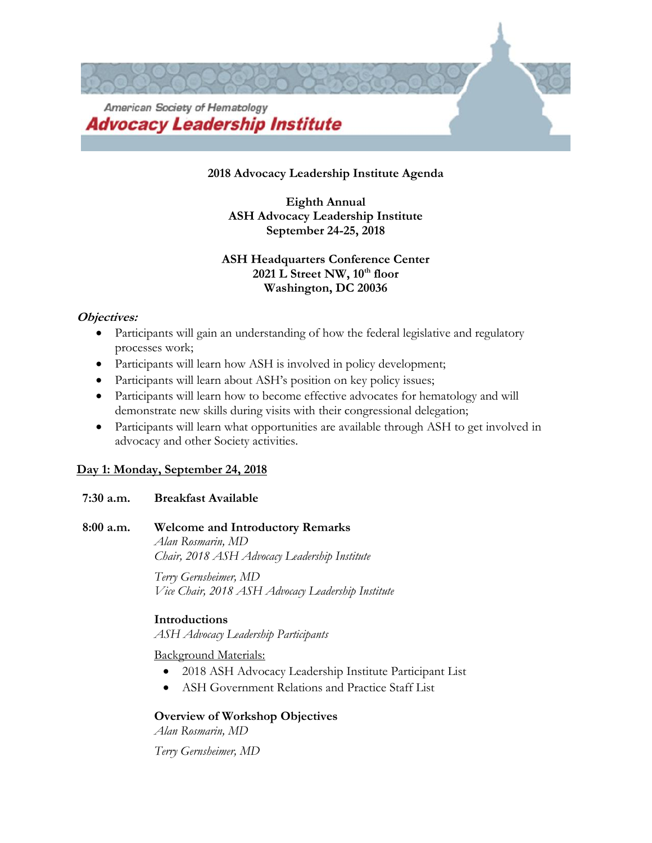

#### **2018 Advocacy Leadership Institute Agenda**

**Eighth Annual ASH Advocacy Leadership Institute September 24-25, 2018**

## **ASH Headquarters Conference Center 2021 L Street NW, 10th floor Washington, DC 20036**

#### **Objectives:**

- Participants will gain an understanding of how the federal legislative and regulatory processes work;
- Participants will learn how ASH is involved in policy development;
- Participants will learn about ASH's position on key policy issues;
- Participants will learn how to become effective advocates for hematology and will demonstrate new skills during visits with their congressional delegation;
- Participants will learn what opportunities are available through ASH to get involved in advocacy and other Society activities.

### **Day 1: Monday, September 24, 2018**

### **7:30 a.m. Breakfast Available**

## **8:00 a.m. Welcome and Introductory Remarks**

*Alan Rosmarin, MD Chair, 2018 ASH Advocacy Leadership Institute*

*Terry Gernsheimer, MD Vice Chair, 2018 ASH Advocacy Leadership Institute*

### **Introductions**

*ASH Advocacy Leadership Participants*

Background Materials:

- 2018 ASH Advocacy Leadership Institute Participant List
- ASH Government Relations and Practice Staff List

### **Overview of Workshop Objectives**

*Alan Rosmarin, MD*

*Terry Gernsheimer, MD*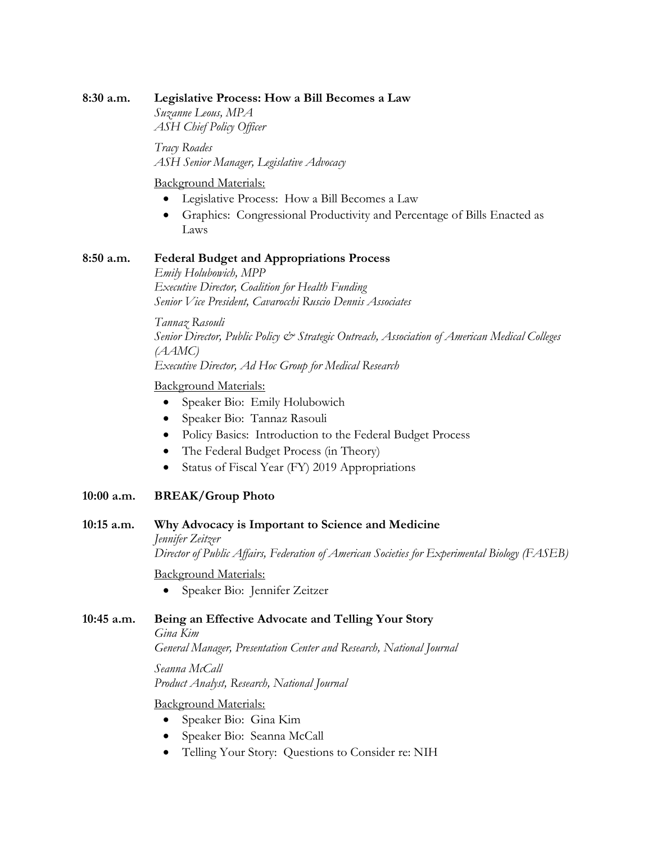#### **8:30 a.m. Legislative Process: How a Bill Becomes a Law**

*Suzanne Leous, MPA ASH Chief Policy Officer*

*Tracy Roades ASH Senior Manager, Legislative Advocacy*

Background Materials:

- Legislative Process: How a Bill Becomes a Law
- Graphics: Congressional Productivity and Percentage of Bills Enacted as Laws

## **8:50 a.m. Federal Budget and Appropriations Process**

*Emily Holubowich, MPP Executive Director, Coalition for Health Funding Senior Vice President, Cavarocchi Ruscio Dennis Associates*

*Tannaz Rasouli Senior Director, Public Policy & Strategic Outreach, Association of American Medical Colleges (AAMC) Executive Director, Ad Hoc Group for Medical Research*

### Background Materials:

- Speaker Bio: Emily Holubowich
- Speaker Bio: Tannaz Rasouli
- Policy Basics: Introduction to the Federal Budget Process
- The Federal Budget Process (in Theory)
- Status of Fiscal Year (FY) 2019 Appropriations

# **10:00 a.m. BREAK/Group Photo**

### **10:15 a.m. Why Advocacy is Important to Science and Medicine**

*Jennifer Zeitzer*

*Director of Public Affairs, Federation of American Societies for Experimental Biology (FASEB)*

Background Materials:

• Speaker Bio: Jennifer Zeitzer

# **10:45 a.m. Being an Effective Advocate and Telling Your Story**

*Gina Kim*

*General Manager, Presentation Center and Research, National Journal*

*Seanna McCall Product Analyst, Research, National Journal*

# Background Materials:

- Speaker Bio: Gina Kim
- Speaker Bio: Seanna McCall
- Telling Your Story: Questions to Consider re: NIH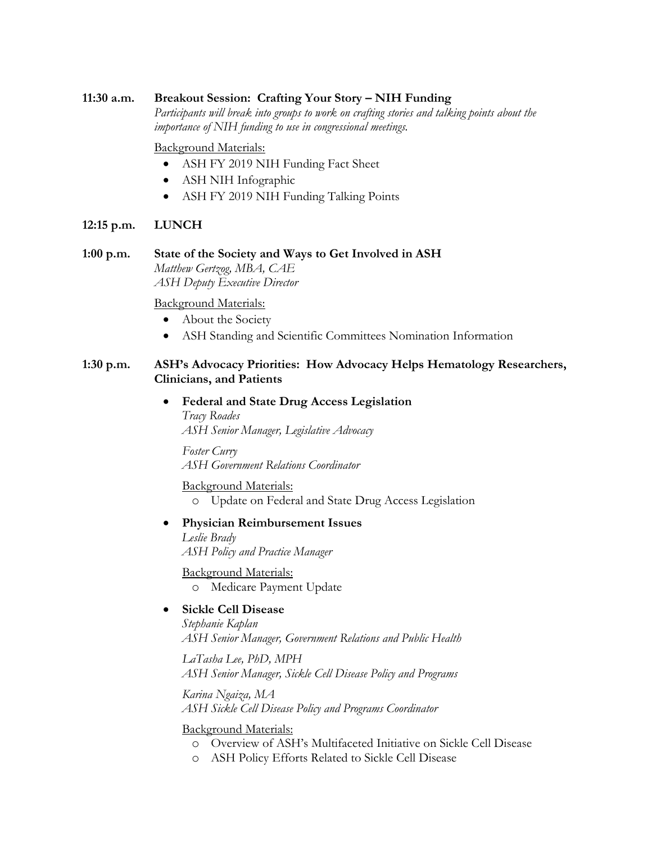#### **11:30 a.m. Breakout Session: Crafting Your Story – NIH Funding**

*Participants will break into groups to work on crafting stories and talking points about the importance of NIH funding to use in congressional meetings.*

#### Background Materials:

- ASH FY 2019 NIH Funding Fact Sheet
- ASH NIH Infographic
- ASH FY 2019 NIH Funding Talking Points

#### **12:15 p.m. LUNCH**

**1:00 p.m. State of the Society and Ways to Get Involved in ASH** *Matthew Gertzog, MBA, CAE ASH Deputy Executive Director*

#### Background Materials:

- About the Society
- ASH Standing and Scientific Committees Nomination Information

#### **1:30 p.m. ASH's Advocacy Priorities: How Advocacy Helps Hematology Researchers, Clinicians, and Patients**

• **Federal and State Drug Access Legislation** *Tracy Roades ASH Senior Manager, Legislative Advocacy*

*Foster Curry ASH Government Relations Coordinator*

Background Materials:

o Update on Federal and State Drug Access Legislation

### • **Physician Reimbursement Issues**

*Leslie Brady ASH Policy and Practice Manager*

Background Materials:

o Medicare Payment Update

## • **Sickle Cell Disease**

*Stephanie Kaplan ASH Senior Manager, Government Relations and Public Health*

*LaTasha Lee, PhD, MPH ASH Senior Manager, Sickle Cell Disease Policy and Programs*

*Karina Ngaiza, MA ASH Sickle Cell Disease Policy and Programs Coordinator*

Background Materials:

- o Overview of ASH's Multifaceted Initiative on Sickle Cell Disease
- o ASH Policy Efforts Related to Sickle Cell Disease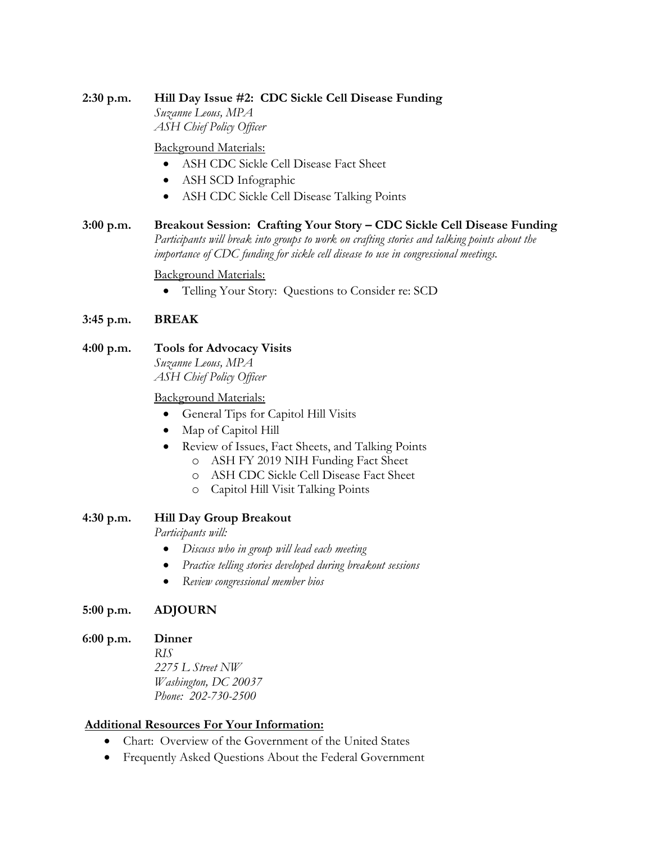# **2:30 p.m. Hill Day Issue #2: CDC Sickle Cell Disease Funding**

*Suzanne Leous, MPA ASH Chief Policy Officer*

Background Materials:

- ASH CDC Sickle Cell Disease Fact Sheet
- ASH SCD Infographic
- ASH CDC Sickle Cell Disease Talking Points
- **3:00 p.m. Breakout Session: Crafting Your Story – CDC Sickle Cell Disease Funding** Participants will break into groups to work on crafting stories and talking points about the *importance of CDC funding for sickle cell disease to use in congressional meetings.*

### Background Materials:

• Telling Your Story: Questions to Consider re: SCD

## **3:45 p.m. BREAK**

**4:00 p.m. Tools for Advocacy Visits** *Suzanne Leous, MPA ASH Chief Policy Officer*

### Background Materials:

- General Tips for Capitol Hill Visits
- Map of Capitol Hill
- Review of Issues, Fact Sheets, and Talking Points
	- o ASH FY 2019 NIH Funding Fact Sheet
	- o ASH CDC Sickle Cell Disease Fact Sheet
	- o Capitol Hill Visit Talking Points

### **4:30 p.m. Hill Day Group Breakout**

*Participants will:*

- *Discuss who in group will lead each meeting*
- *Practice telling stories developed during breakout sessions*
- *Review congressional member bios*

### **5:00 p.m. ADJOURN**

### **6:00 p.m. Dinner**

*RIS 2275 L Street NW Washington, DC 20037 Phone: 202-730-2500*

#### **Additional Resources For Your Information:**

- Chart: Overview of the Government of the United States
- Frequently Asked Questions About the Federal Government